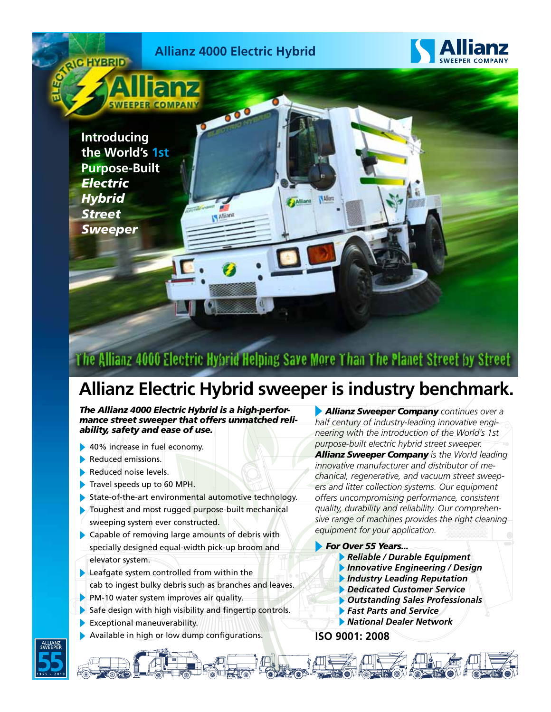

## The Allianz 4000 Electric Hybrid Helping Save More Than The Planet Street by Street

## **Allianz Electric Hybrid sweeper is industry benchmark.**

*The Allianz 4000 Electric Hybrid is a high-performance street sweeper that offers unmatched reliability, safety and ease of use.*

- 40% increase in fuel economy.
- Reduced emissions.
- Reduced noise levels.
- Travel speeds up to 60 MPH.
- State-of-the-art environmental automotive technology.
- Toughest and most rugged purpose-built mechanical sweeping system ever constructed.
- Capable of removing large amounts of debris with specially designed equal-width pick-up broom and elevator system.
- Leafgate system controlled from within the cab to ingest bulky debris such as branches and leaves.
- PM-10 water system improves air quality.
- Safe design with high visibility and fingertip controls.
- Exceptional maneuverability.
- Available in high or low dump configurations.

 *Allianz Sweeper Company continues over a half century of industry-leading innovative engineering with the introduction of the World's 1st purpose-built electric hybrid street sweeper. Allianz Sweeper Company is the World leading innovative manufacturer and distributor of mechanical, regenerative, and vacuum street sweepers and litter collection systems. Our equipment offers uncompromising performance, consistent quality, durability and reliability. Our comprehensive range of machines provides the right cleaning equipment for your application.*

#### *For Over 55 Years...*

- *Reliable / Durable Equipment*
- *Innovative Engineering / Design*
- *Industry Leading Reputation*
- *Dedicated Customer Service*
- *Outstanding Sales Professionals*
- *Fast Parts and Service*

### *National Dealer Network*

**ISO 9001: 2008**